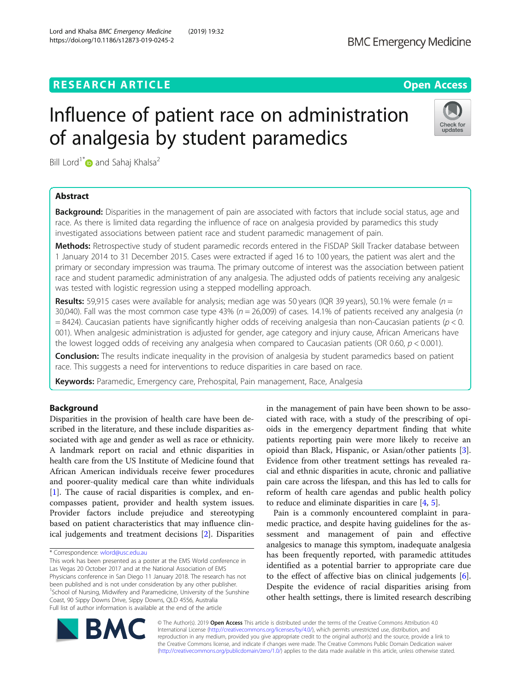# Influence of patient race on administration of analgesia by student paramedics



Bill Lord<sup>1[\\*](http://orcid.org/0000-0001-8821-5353)</sup> and Sahaj Khalsa<sup>2</sup>

## Abstract

**Background:** Disparities in the management of pain are associated with factors that include social status, age and race. As there is limited data regarding the influence of race on analgesia provided by paramedics this study investigated associations between patient race and student paramedic management of pain.

Methods: Retrospective study of student paramedic records entered in the FISDAP Skill Tracker database between 1 January 2014 to 31 December 2015. Cases were extracted if aged 16 to 100 years, the patient was alert and the primary or secondary impression was trauma. The primary outcome of interest was the association between patient race and student paramedic administration of any analgesia. The adjusted odds of patients receiving any analgesic was tested with logistic regression using a stepped modelling approach.

**Results:** 59,915 cases were available for analysis; median age was 50 years (IQR 39 years), 50.1% were female ( $n =$ 30,040). Fall was the most common case type 43% ( $n = 26,009$ ) of cases. 14.1% of patients received any analgesia ( $n$  $=$  8424). Caucasian patients have significantly higher odds of receiving analgesia than non-Caucasian patients ( $p$  < 0. 001). When analgesic administration is adjusted for gender, age category and injury cause, African Americans have the lowest logged odds of receiving any analgesia when compared to Caucasian patients (OR 0.60,  $p < 0.001$ ).

**Conclusion:** The results indicate inequality in the provision of analgesia by student paramedics based on patient race. This suggests a need for interventions to reduce disparities in care based on race.

Keywords: Paramedic, Emergency care, Prehospital, Pain management, Race, Analgesia

## Background

Disparities in the provision of health care have been described in the literature, and these include disparities associated with age and gender as well as race or ethnicity. A landmark report on racial and ethnic disparities in health care from the US Institute of Medicine found that African American individuals receive fewer procedures and poorer-quality medical care than white individuals [[1\]](#page-5-0). The cause of racial disparities is complex, and encompasses patient, provider and health system issues. Provider factors include prejudice and stereotyping based on patient characteristics that may influence clinical judgements and treatment decisions [\[2](#page-5-0)]. Disparities

in the management of pain have been shown to be associated with race, with a study of the prescribing of opioids in the emergency department finding that white patients reporting pain were more likely to receive an opioid than Black, Hispanic, or Asian/other patients [\[3](#page-6-0)]. Evidence from other treatment settings has revealed racial and ethnic disparities in acute, chronic and palliative pain care across the lifespan, and this has led to calls for reform of health care agendas and public health policy to reduce and eliminate disparities in care  $[4, 5]$  $[4, 5]$  $[4, 5]$  $[4, 5]$ .

Pain is a commonly encountered complaint in paramedic practice, and despite having guidelines for the assessment and management of pain and effective analgesics to manage this symptom, inadequate analgesia has been frequently reported, with paramedic attitudes identified as a potential barrier to appropriate care due to the effect of affective bias on clinical judgements [\[6](#page-6-0)]. Despite the evidence of racial disparities arising from other health settings, there is limited research describing



© The Author(s). 2019 Open Access This article is distributed under the terms of the Creative Commons Attribution 4.0 International License [\(http://creativecommons.org/licenses/by/4.0/](http://creativecommons.org/licenses/by/4.0/)), which permits unrestricted use, distribution, and reproduction in any medium, provided you give appropriate credit to the original author(s) and the source, provide a link to the Creative Commons license, and indicate if changes were made. The Creative Commons Public Domain Dedication waiver [\(http://creativecommons.org/publicdomain/zero/1.0/](http://creativecommons.org/publicdomain/zero/1.0/)) applies to the data made available in this article, unless otherwise stated.

<sup>\*</sup> Correspondence: [wlord@usc.edu.au](mailto:wlord@usc.edu.au)

This work has been presented as a poster at the EMS World conference in Las Vegas 20 October 2017 and at the National Association of EMS Physicians conference in San Diego 11 January 2018. The research has not been published and is not under consideration by any other publisher. <sup>1</sup>School of Nursing, Midwifery and Paramedicine, University of the Sunshine Coast, 90 Sippy Downs Drive, Sippy Downs, QLD 4556, Australia Full list of author information is available at the end of the article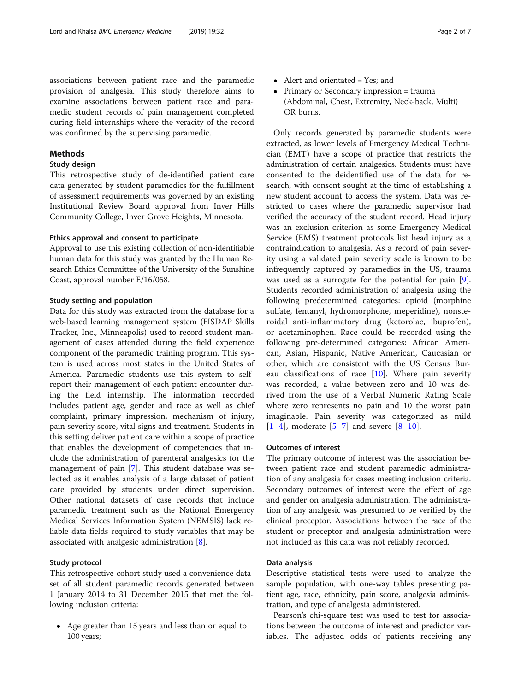associations between patient race and the paramedic provision of analgesia. This study therefore aims to examine associations between patient race and paramedic student records of pain management completed during field internships where the veracity of the record was confirmed by the supervising paramedic.

## Methods

## Study design

This retrospective study of de-identified patient care data generated by student paramedics for the fulfillment of assessment requirements was governed by an existing Institutional Review Board approval from Inver Hills Community College, Inver Grove Heights, Minnesota.

### Ethics approval and consent to participate

Approval to use this existing collection of non-identifiable human data for this study was granted by the Human Research Ethics Committee of the University of the Sunshine Coast, approval number E/16/058.

#### Study setting and population

Data for this study was extracted from the database for a web-based learning management system (FISDAP Skills Tracker, Inc., Minneapolis) used to record student management of cases attended during the field experience component of the paramedic training program. This system is used across most states in the United States of America. Paramedic students use this system to selfreport their management of each patient encounter during the field internship. The information recorded includes patient age, gender and race as well as chief complaint, primary impression, mechanism of injury, pain severity score, vital signs and treatment. Students in this setting deliver patient care within a scope of practice that enables the development of competencies that include the administration of parenteral analgesics for the management of pain [[7\]](#page-6-0). This student database was selected as it enables analysis of a large dataset of patient care provided by students under direct supervision. Other national datasets of case records that include paramedic treatment such as the National Emergency Medical Services Information System (NEMSIS) lack reliable data fields required to study variables that may be associated with analgesic administration [\[8\]](#page-6-0).

## Study protocol

This retrospective cohort study used a convenience dataset of all student paramedic records generated between 1 January 2014 to 31 December 2015 that met the following inclusion criteria:

 Age greater than 15 years and less than or equal to 100 years;

- Alert and orientated = Yes; and
- Primary or Secondary impression = trauma (Abdominal, Chest, Extremity, Neck-back, Multi) OR burns.

Only records generated by paramedic students were extracted, as lower levels of Emergency Medical Technician (EMT) have a scope of practice that restricts the administration of certain analgesics. Students must have consented to the deidentified use of the data for research, with consent sought at the time of establishing a new student account to access the system. Data was restricted to cases where the paramedic supervisor had verified the accuracy of the student record. Head injury was an exclusion criterion as some Emergency Medical Service (EMS) treatment protocols list head injury as a contraindication to analgesia. As a record of pain severity using a validated pain severity scale is known to be infrequently captured by paramedics in the US, trauma was used as a surrogate for the potential for pain [\[9](#page-6-0)]. Students recorded administration of analgesia using the following predetermined categories: opioid (morphine sulfate, fentanyl, hydromorphone, meperidine), nonsteroidal anti-inflammatory drug (ketorolac, ibuprofen), or acetaminophen. Race could be recorded using the following pre-determined categories: African American, Asian, Hispanic, Native American, Caucasian or other, which are consistent with the US Census Bureau classifications of race  $[10]$  $[10]$ . Where pain severity was recorded, a value between zero and 10 was derived from the use of a Verbal Numeric Rating Scale where zero represents no pain and 10 the worst pain imaginable. Pain severity was categorized as mild  $[1-4]$  $[1-4]$  $[1-4]$  $[1-4]$ , moderate  $[5-7]$  $[5-7]$  $[5-7]$  $[5-7]$  and severe  $[8-10]$  $[8-10]$  $[8-10]$  $[8-10]$ .

#### Outcomes of interest

The primary outcome of interest was the association between patient race and student paramedic administration of any analgesia for cases meeting inclusion criteria. Secondary outcomes of interest were the effect of age and gender on analgesia administration. The administration of any analgesic was presumed to be verified by the clinical preceptor. Associations between the race of the student or preceptor and analgesia administration were not included as this data was not reliably recorded.

## Data analysis

Descriptive statistical tests were used to analyze the sample population, with one-way tables presenting patient age, race, ethnicity, pain score, analgesia administration, and type of analgesia administered.

Pearson's chi-square test was used to test for associations between the outcome of interest and predictor variables. The adjusted odds of patients receiving any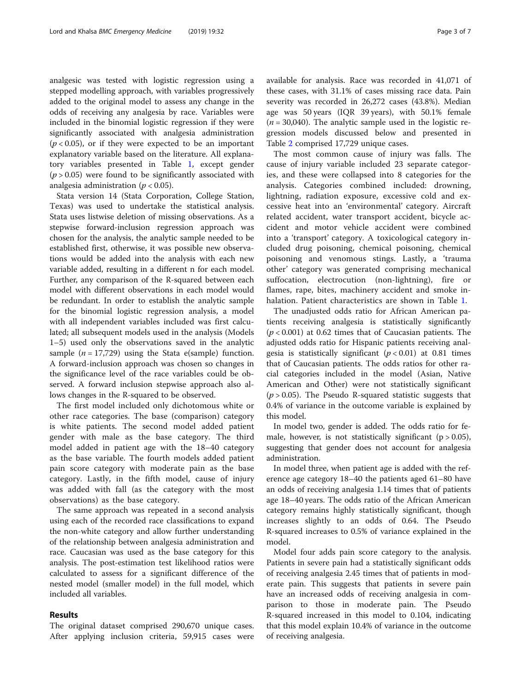analgesic was tested with logistic regression using a stepped modelling approach, with variables progressively added to the original model to assess any change in the odds of receiving any analgesia by race. Variables were included in the binomial logistic regression if they were significantly associated with analgesia administration  $(p < 0.05)$ , or if they were expected to be an important explanatory variable based on the literature. All explanatory variables presented in Table [1,](#page-3-0) except gender  $(p > 0.05)$  were found to be significantly associated with analgesia administration ( $p < 0.05$ ).

Stata version 14 (Stata Corporation, College Station, Texas) was used to undertake the statistical analysis. Stata uses listwise deletion of missing observations. As a stepwise forward-inclusion regression approach was chosen for the analysis, the analytic sample needed to be established first, otherwise, it was possible new observations would be added into the analysis with each new variable added, resulting in a different n for each model. Further, any comparison of the R-squared between each model with different observations in each model would be redundant. In order to establish the analytic sample for the binomial logistic regression analysis, a model with all independent variables included was first calculated; all subsequent models used in the analysis (Models 1–5) used only the observations saved in the analytic sample ( $n = 17,729$ ) using the Stata e(sample) function. A forward-inclusion approach was chosen so changes in the significance level of the race variables could be observed. A forward inclusion stepwise approach also allows changes in the R-squared to be observed.

The first model included only dichotomous white or other race categories. The base (comparison) category is white patients. The second model added patient gender with male as the base category. The third model added in patient age with the 18–40 category as the base variable. The fourth models added patient pain score category with moderate pain as the base category. Lastly, in the fifth model, cause of injury was added with fall (as the category with the most observations) as the base category.

The same approach was repeated in a second analysis using each of the recorded race classifications to expand the non-white category and allow further understanding of the relationship between analgesia administration and race. Caucasian was used as the base category for this analysis. The post-estimation test likelihood ratios were calculated to assess for a significant difference of the nested model (smaller model) in the full model, which included all variables.

## Results

The original dataset comprised 290,670 unique cases. After applying inclusion criteria, 59,915 cases were available for analysis. Race was recorded in 41,071 of these cases, with 31.1% of cases missing race data. Pain severity was recorded in 26,272 cases (43.8%). Median age was 50 years (IQR 39 years), with 50.1% female  $(n = 30,040)$ . The analytic sample used in the logistic regression models discussed below and presented in Table [2](#page-4-0) comprised 17,729 unique cases.

The most common cause of injury was falls. The cause of injury variable included 23 separate categories, and these were collapsed into 8 categories for the analysis. Categories combined included: drowning, lightning, radiation exposure, excessive cold and excessive heat into an 'environmental' category. Aircraft related accident, water transport accident, bicycle accident and motor vehicle accident were combined into a 'transport' category. A toxicological category included drug poisoning, chemical poisoning, chemical poisoning and venomous stings. Lastly, a 'trauma other' category was generated comprising mechanical suffocation, electrocution (non-lightning), fire or flames, rape, bites, machinery accident and smoke inhalation. Patient characteristics are shown in Table [1](#page-3-0).

The unadjusted odds ratio for African American patients receiving analgesia is statistically significantly  $(p < 0.001)$  at 0.62 times that of Caucasian patients. The adjusted odds ratio for Hispanic patients receiving analgesia is statistically significant  $(p < 0.01)$  at 0.81 times that of Caucasian patients. The odds ratios for other racial categories included in the model (Asian, Native American and Other) were not statistically significant  $(p > 0.05)$ . The Pseudo R-squared statistic suggests that 0.4% of variance in the outcome variable is explained by this model.

In model two, gender is added. The odds ratio for female, however, is not statistically significant ( $p > 0.05$ ), suggesting that gender does not account for analgesia administration.

In model three, when patient age is added with the reference age category 18–40 the patients aged 61–80 have an odds of receiving analgesia 1.14 times that of patients age 18–40 years. The odds ratio of the African American category remains highly statistically significant, though increases slightly to an odds of 0.64. The Pseudo R-squared increases to 0.5% of variance explained in the model.

Model four adds pain score category to the analysis. Patients in severe pain had a statistically significant odds of receiving analgesia 2.45 times that of patients in moderate pain. This suggests that patients in severe pain have an increased odds of receiving analgesia in comparison to those in moderate pain. The Pseudo R-squared increased in this model to 0.104, indicating that this model explain 10.4% of variance in the outcome of receiving analgesia.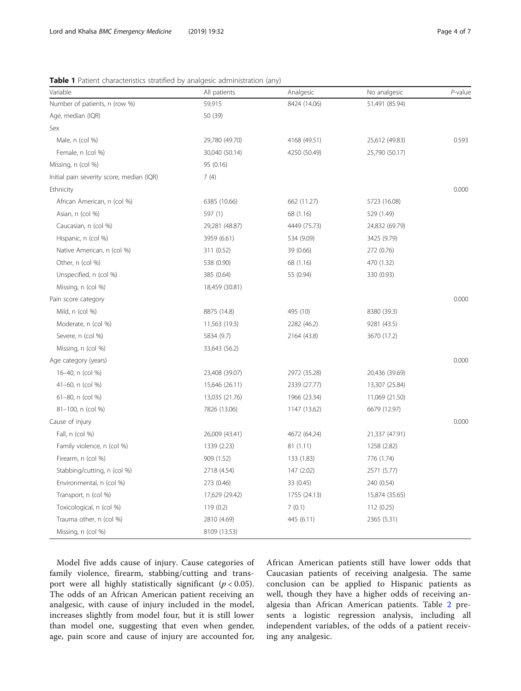<span id="page-3-0"></span>Table 1 Patient characteristics stratified by analgesic administration (any)

| Variable                                  | All patients   | Analgesic    | No analgesic   | P-value |
|-------------------------------------------|----------------|--------------|----------------|---------|
| Number of patients, n (row %)             | 59,915         | 8424 (14.06) | 51,491 (85.94) |         |
| Age, median (IQR)                         | 50 (39)        |              |                |         |
| Sex                                       |                |              |                |         |
| Male, n (col %)                           | 29,780 (49.70) | 4168 (49.51) | 25,612 (49.83) | 0.593   |
| Female, n (col %)                         | 30,040 (50.14) | 4250 (50.49) | 25,790 (50.17) |         |
| Missing, n (col %)                        | 95 (0.16)      |              |                |         |
| Initial pain severity score, median (IQR) | 7(4)           |              |                |         |
| Ethnicity                                 |                |              |                | 0.000   |
| African American, n (col %)               | 6385 (10.66)   | 662 (11.27)  | 5723 (16.08)   |         |
| Asian, n (col %)                          | 597 (1)        | 68 (1.16)    | 529 (1.49)     |         |
| Caucasian, n (col %)                      | 29,281 (48.87) | 4449 (75.73) | 24,832 (69.79) |         |
| Hispanic, n (col %)                       | 3959 (6.61)    | 534 (9.09)   | 3425 (9.79)    |         |
| Native American, n (col %)                | 311 (0.52)     | 39 (0.66)    | 272 (0.76)     |         |
| Other, n (col %)                          | 538 (0.90)     | 68 (1.16)    | 470 (1.32)     |         |
| Unspecified, n (col %)                    | 385 (0.64)     | 55 (0.94)    | 330 (0.93)     |         |
| Missing, n (col %)                        | 18,459 (30.81) |              |                |         |
| Pain score category                       |                |              |                | 0.000   |
| Mild, n (col %)                           | 8875 (14.8)    | 495 (10)     | 8380 (39.3)    |         |
| Moderate, n (col %)                       | 11,563 (19.3)  | 2282 (46.2)  | 9281 (43.5)    |         |
| Severe, n (col %)                         | 5834 (9.7)     | 2164 (43.8)  | 3670 (17.2)    |         |
| Missing, n (col %)                        | 33,643 (56.2)  |              |                |         |
| Age category (years)                      |                |              |                | 0.000   |
| 16-40, n (col %)                          | 23,408 (39.07) | 2972 (35.28) | 20,436 (39.69) |         |
| 41-60, n (col %)                          | 15,646 (26.11) | 2339 (27.77) | 13,307 (25.84) |         |
| 61-80, n (col %)                          | 13,035 (21.76) | 1966 (23.34) | 11,069 (21.50) |         |
| 81-100, n (col %)                         | 7826 (13.06)   | 1147 (13.62) | 6679 (12.97)   |         |
| Cause of injury                           |                |              |                | 0.000   |
| Fall, n (col %)                           | 26,009 (43.41) | 4672 (64.24) | 21,337 (47.91) |         |
| Family violence, n (col %)                | 1339 (2.23)    | 81(1.11)     | 1258 (2.82)    |         |
| Firearm, n (col %)                        | 909 (1.52)     | 133 (1.83)   | 776 (1.74)     |         |
| Stabbing/cutting, n (col %)               | 2718 (4.54)    | 147 (2.02)   | 2571 (5.77)    |         |
| Environmental, n (col %)                  | 273 (0.46)     | 33 (0.45)    | 240 (0.54)     |         |
| Transport, n (col %)                      | 17,629 (29.42) | 1755 (24.13) | 15,874 (35.65) |         |
| Toxicological, n (col %)                  | 119 (0.2)      | 7(0.1)       | 112 (0.25)     |         |
| Trauma other, n (col %)                   | 2810 (4.69)    | 445 (6.11)   | 2365 (5.31)    |         |
| Missing, n (col %)                        | 8109 (13.53)   |              |                |         |

Model five adds cause of injury. Cause categories of family violence, firearm, stabbing/cutting and transport were all highly statistically significant  $(p < 0.05)$ . The odds of an African American patient receiving an analgesic, with cause of injury included in the model, increases slightly from model four, but it is still lower than model one, suggesting that even when gender, age, pain score and cause of injury are accounted for, African American patients still have lower odds that Caucasian patients of receiving analgesia. The same conclusion can be applied to Hispanic patients as well, though they have a higher odds of receiving analgesia than African American patients. Table [2](#page-4-0) presents a logistic regression analysis, including all independent variables, of the odds of a patient receiving any analgesic.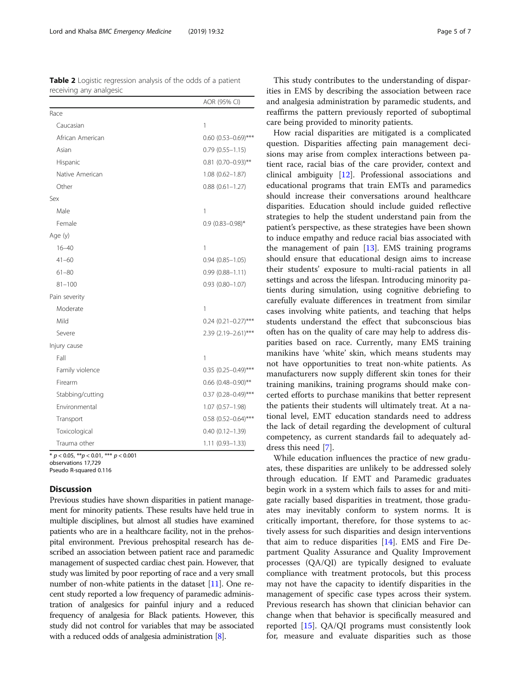observations 17,729

Pseudo R-squared 0.116

## **Discussion**

Previous studies have shown disparities in patient management for minority patients. These results have held true in multiple disciplines, but almost all studies have examined patients who are in a healthcare facility, not in the prehospital environment. Previous prehospital research has described an association between patient race and paramedic management of suspected cardiac chest pain. However, that study was limited by poor reporting of race and a very small number of non-white patients in the dataset [\[11](#page-6-0)]. One recent study reported a low frequency of paramedic administration of analgesics for painful injury and a reduced frequency of analgesia for Black patients. However, this study did not control for variables that may be associated with a reduced odds of analgesia administration [[8\]](#page-6-0).

This study contributes to the understanding of disparities in EMS by describing the association between race and analgesia administration by paramedic students, and reaffirms the pattern previously reported of suboptimal care being provided to minority patients.

How racial disparities are mitigated is a complicated question. Disparities affecting pain management decisions may arise from complex interactions between patient race, racial bias of the care provider, context and clinical ambiguity [[12](#page-6-0)]. Professional associations and educational programs that train EMTs and paramedics should increase their conversations around healthcare disparities. Education should include guided reflective strategies to help the student understand pain from the patient's perspective, as these strategies have been shown to induce empathy and reduce racial bias associated with the management of pain  $[13]$  $[13]$ . EMS training programs should ensure that educational design aims to increase their students' exposure to multi-racial patients in all settings and across the lifespan. Introducing minority patients during simulation, using cognitive debriefing to carefully evaluate differences in treatment from similar cases involving white patients, and teaching that helps students understand the effect that subconscious bias often has on the quality of care may help to address disparities based on race. Currently, many EMS training manikins have 'white' skin, which means students may not have opportunities to treat non-white patients. As manufacturers now supply different skin tones for their training manikins, training programs should make concerted efforts to purchase manikins that better represent the patients their students will ultimately treat. At a national level, EMT education standards need to address the lack of detail regarding the development of cultural competency, as current standards fail to adequately address this need [[7\]](#page-6-0).

While education influences the practice of new graduates, these disparities are unlikely to be addressed solely through education. If EMT and Paramedic graduates begin work in a system which fails to asses for and mitigate racially based disparities in treatment, those graduates may inevitably conform to system norms. It is critically important, therefore, for those systems to actively assess for such disparities and design interventions that aim to reduce disparities  $[14]$  $[14]$ . EMS and Fire Department Quality Assurance and Quality Improvement processes (QA/QI) are typically designed to evaluate compliance with treatment protocols, but this process may not have the capacity to identify disparities in the management of specific case types across their system. Previous research has shown that clinician behavior can change when that behavior is specifically measured and reported [\[15](#page-6-0)]. QA/QI programs must consistently look for, measure and evaluate disparities such as those

<span id="page-4-0"></span>Table 2 Logistic regression analysis of the odds of a patient receiving any analgesic

|                  | AOR (95% CI)               |
|------------------|----------------------------|
| Race             |                            |
| Caucasian        | 1                          |
| African American | 0.60 $(0.53 - 0.69)$ ***   |
| Asian            | $0.79(0.55 - 1.15)$        |
| Hispanic         | $0.81$ (0.70-0.93)**       |
| Native American  | $1.08(0.62 - 1.87)$        |
| Other            | $0.88$ $(0.61 - 1.27)$     |
| Sex              |                            |
| Male             | 1                          |
| Female           | $0.9(0.83 - 0.98)^*$       |
| Age (y)          |                            |
| $16 - 40$        | 1                          |
| $41 - 60$        | $0.94$ $(0.85 - 1.05)$     |
| $61 - 80$        | $0.99(0.88 - 1.11)$        |
| $81 - 100$       | $0.93$ $(0.80 - 1.07)$     |
| Pain severity    |                            |
| Moderate         | 1                          |
| Mild             | $0.24$ $(0.21 - 0.27)$ *** |
| Severe           | 2.39 (2.19-2.61)***        |
| Injury cause     |                            |
| Fall             | 1                          |
| Family violence  | $0.35$ (0.25-0.49)***      |
| Firearm          | $0.66$ (0.48-0.90)**       |
| Stabbing/cutting | $0.37$ (0.28-0.49)***      |
| Environmental    | 1.07 (0.57-1.98)           |
| Transport        | $0.58$ (0.52-0.64)***      |
| Toxicological    | $0.40(0.12 - 1.39)$        |
| Trauma other     | $1.11(0.93 - 1.33)$        |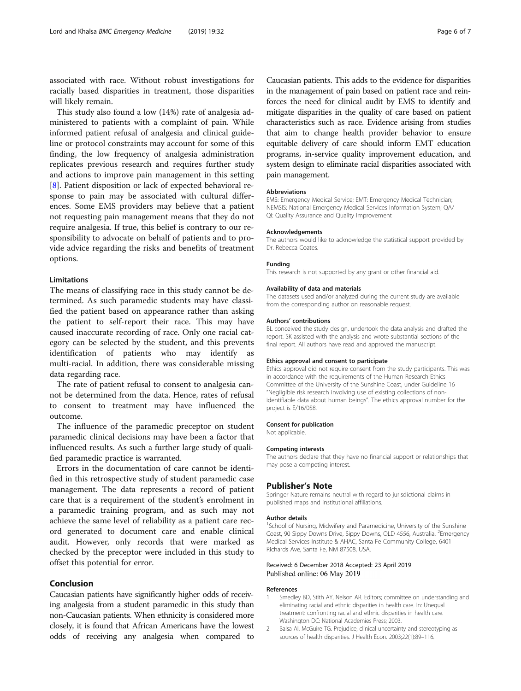<span id="page-5-0"></span>associated with race. Without robust investigations for racially based disparities in treatment, those disparities will likely remain.

This study also found a low (14%) rate of analgesia administered to patients with a complaint of pain. While informed patient refusal of analgesia and clinical guideline or protocol constraints may account for some of this finding, the low frequency of analgesia administration replicates previous research and requires further study and actions to improve pain management in this setting [[8\]](#page-6-0). Patient disposition or lack of expected behavioral response to pain may be associated with cultural differences. Some EMS providers may believe that a patient not requesting pain management means that they do not require analgesia. If true, this belief is contrary to our responsibility to advocate on behalf of patients and to provide advice regarding the risks and benefits of treatment options.

#### **Limitations**

The means of classifying race in this study cannot be determined. As such paramedic students may have classified the patient based on appearance rather than asking the patient to self-report their race. This may have caused inaccurate recording of race. Only one racial category can be selected by the student, and this prevents identification of patients who may identify as multi-racial. In addition, there was considerable missing data regarding race.

The rate of patient refusal to consent to analgesia cannot be determined from the data. Hence, rates of refusal to consent to treatment may have influenced the outcome.

The influence of the paramedic preceptor on student paramedic clinical decisions may have been a factor that influenced results. As such a further large study of qualified paramedic practice is warranted.

Errors in the documentation of care cannot be identified in this retrospective study of student paramedic case management. The data represents a record of patient care that is a requirement of the student's enrolment in a paramedic training program, and as such may not achieve the same level of reliability as a patient care record generated to document care and enable clinical audit. However, only records that were marked as checked by the preceptor were included in this study to offset this potential for error.

### Conclusion

Caucasian patients have significantly higher odds of receiving analgesia from a student paramedic in this study than non-Caucasian patients. When ethnicity is considered more closely, it is found that African Americans have the lowest odds of receiving any analgesia when compared to

Caucasian patients. This adds to the evidence for disparities in the management of pain based on patient race and reinforces the need for clinical audit by EMS to identify and mitigate disparities in the quality of care based on patient characteristics such as race. Evidence arising from studies that aim to change health provider behavior to ensure equitable delivery of care should inform EMT education programs, in-service quality improvement education, and system design to eliminate racial disparities associated with pain management.

#### Abbreviations

EMS: Emergency Medical Service; EMT: Emergency Medical Technician; NEMSIS: National Emergency Medical Services Information System; QA/ QI: Quality Assurance and Quality Improvement

#### Acknowledgements

The authors would like to acknowledge the statistical support provided by Dr. Rebecca Coates.

#### Funding

This research is not supported by any grant or other financial aid.

#### Availability of data and materials

The datasets used and/or analyzed during the current study are available from the corresponding author on reasonable request.

#### Authors' contributions

BL conceived the study design, undertook the data analysis and drafted the report. SK assisted with the analysis and wrote substantial sections of the final report. All authors have read and approved the manuscript.

#### Ethics approval and consent to participate

Ethics approval did not require consent from the study participants. This was in accordance with the requirements of the Human Research Ethics Committee of the University of the Sunshine Coast, under Guideline 16 "Negligible risk research involving use of existing collections of nonidentifiable data about human beings". The ethics approval number for the project is E/16/058.

#### Consent for publication

Not applicable.

#### Competing interests

The authors declare that they have no financial support or relationships that may pose a competing interest.

### Publisher's Note

Springer Nature remains neutral with regard to jurisdictional claims in published maps and institutional affiliations.

#### Author details

<sup>1</sup>School of Nursing, Midwifery and Paramedicine, University of the Sunshine Coast, 90 Sippy Downs Drive, Sippy Downs, QLD 4556, Australia. <sup>2</sup>Emergency Medical Services Institute & AHAC, Santa Fe Community College, 6401 Richards Ave, Santa Fe, NM 87508, USA.

#### Received: 6 December 2018 Accepted: 23 April 2019 Published online: 06 May 2019

#### References

- 1. Smedley BD, Stith AY, Nelson AR. Editors; committee on understanding and eliminating racial and ethnic disparities in health care. In: Unequal treatment: confronting racial and ethnic disparities in health care. Washington DC: National Academies Press; 2003.
- 2. Balsa AI, McGuire TG. Prejudice, clinical uncertainty and stereotyping as sources of health disparities. J Health Econ. 2003;22(1):89–116.